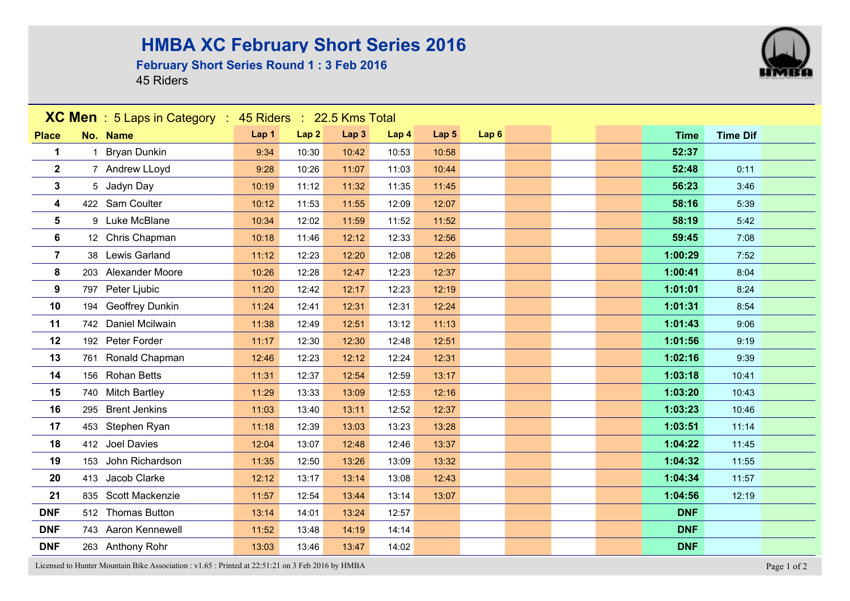## **HMBA XC February Short Series 2016**

## **February Short Series Round 1 : 3 Feb 2016**

45 Riders



Licensed to Hunter Mountain Bike Association : v1.65 : Printed at 22:51:21 on 3 Feb 2016 by HMBA Page 1 of 2